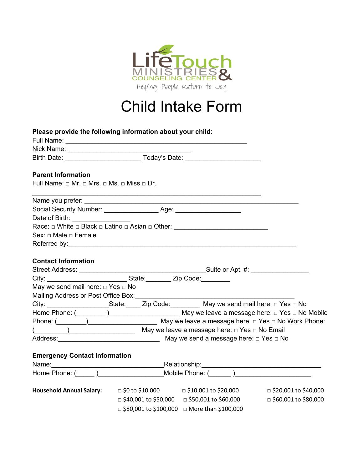

# Child Intake Form

| Please provide the following information about your child:                                                                                                                                                                           |                                                                                |                             |
|--------------------------------------------------------------------------------------------------------------------------------------------------------------------------------------------------------------------------------------|--------------------------------------------------------------------------------|-----------------------------|
|                                                                                                                                                                                                                                      |                                                                                |                             |
|                                                                                                                                                                                                                                      |                                                                                |                             |
|                                                                                                                                                                                                                                      |                                                                                |                             |
| <b>Parent Information</b>                                                                                                                                                                                                            |                                                                                |                             |
| Full Name: $\Box$ Mr. $\Box$ Mrs. $\Box$ Ms. $\Box$ Miss $\Box$ Dr.                                                                                                                                                                  |                                                                                |                             |
|                                                                                                                                                                                                                                      | <u> 1989 - Johann Stoff, amerikansk politiker (* 1908)</u>                     |                             |
|                                                                                                                                                                                                                                      |                                                                                |                             |
| Date of Birth: _________________                                                                                                                                                                                                     |                                                                                |                             |
|                                                                                                                                                                                                                                      |                                                                                |                             |
| Sex: □ Male □ Female                                                                                                                                                                                                                 |                                                                                |                             |
| Referred by: <u>example and the set of the set of the set of the set of the set of the set of the set of the set of the set of the set of the set of the set of the set of the set of the set of the set of the set of the set o</u> |                                                                                |                             |
|                                                                                                                                                                                                                                      |                                                                                |                             |
| <b>Contact Information</b>                                                                                                                                                                                                           |                                                                                |                             |
|                                                                                                                                                                                                                                      |                                                                                |                             |
|                                                                                                                                                                                                                                      |                                                                                |                             |
| May we send mail here: $\Box$ Yes $\Box$ No                                                                                                                                                                                          |                                                                                |                             |
|                                                                                                                                                                                                                                      |                                                                                |                             |
| City: _____________________State: _____ Zip Code: _________ May we send mail here: □ Yes □ No                                                                                                                                        |                                                                                |                             |
|                                                                                                                                                                                                                                      |                                                                                |                             |
| Phone: ( <u>Collective and State of May</u> we leave a message here: □ Yes □ No Work Phone:                                                                                                                                          |                                                                                |                             |
|                                                                                                                                                                                                                                      |                                                                                |                             |
| Address: No May we send a message here: □ Yes □ No                                                                                                                                                                                   |                                                                                |                             |
|                                                                                                                                                                                                                                      |                                                                                |                             |
| <b>Emergency Contact Information</b>                                                                                                                                                                                                 |                                                                                |                             |
|                                                                                                                                                                                                                                      |                                                                                |                             |
| Home Phone: (Changelet and Mobile Phone: (Changelet and Mobile Phone: (Changelet and Dunne Phone: (Changelet and Dunne Phone: (Changelet and Dunne Phone: (Changelet and Dunne Phone: (Changelet and Dunne Phone: (Changelet a       |                                                                                |                             |
|                                                                                                                                                                                                                                      |                                                                                |                             |
| <b>Household Annual Salary:</b>                                                                                                                                                                                                      | $\Box$ \$0 to \$10,000 $\Box$ \$10,001 to \$20,000 $\Box$ \$20,001 to \$40,000 |                             |
|                                                                                                                                                                                                                                      | □ \$40,001 to \$50,000  □ \$50,001 to \$60,000                                 | $\Box$ \$60,001 to \$80,000 |
|                                                                                                                                                                                                                                      | $\Box$ \$80,001 to \$100,000 $\Box$ More than \$100,000                        |                             |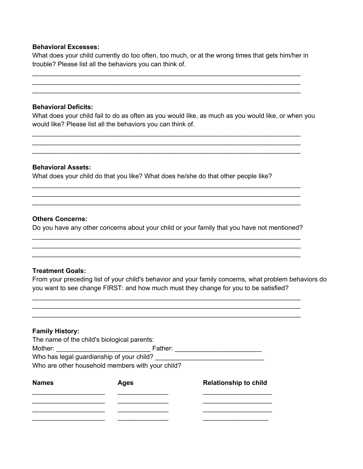## **Behavioral Excesses:**

What does your child currently do too often, too much, or at the wrong times that gets him/her in trouble? Please list all the behaviors you can think of.

 $\_$  $\_$  $\_$ 

#### **Behavioral Deficits:**

What does your child fail to do as often as you would like, as much as you would like, or when you would like? Please list all the behaviors you can think of.

 $\_$  $\_$  $\_$ 

#### **Behavioral Assets:**

What does your child do that you like? What does he/she do that other people like?

#### **Others Concerns:**

Do you have any other concerns about your child or your family that you have not mentioned?  $\_$ 

 $\_$ 

 $\_$  $\_$  $\_$ 

 $\_$  $\_$ 

#### **Treatment Goals:**

From your preceding list of your child's behavior and your family concerns, what problem behaviors do you want to see change FIRST: and how much must they change for you to be satisfied?

#### **Family History:**

| The name of the child's biological parents:      |         |  |
|--------------------------------------------------|---------|--|
| Mother:                                          | Father: |  |
| Who has legal guardianship of your child?        |         |  |
| Who are other household members with your child? |         |  |

| <b>Names</b> | <b>Ages</b> | <b>Relationship to child</b> |
|--------------|-------------|------------------------------|
|              |             |                              |
|              |             |                              |
|              |             |                              |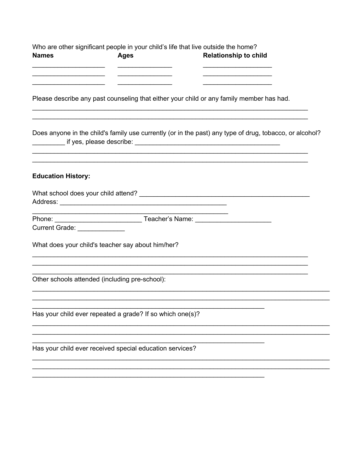| <b>Names</b>                                                                                            | <b>Ages</b> | Who are other significant people in your child's life that live outside the home?<br><b>Relationship to child</b> |  |  |
|---------------------------------------------------------------------------------------------------------|-------------|-------------------------------------------------------------------------------------------------------------------|--|--|
|                                                                                                         |             | the control of the control of the control of the control of the control of                                        |  |  |
| Please describe any past counseling that either your child or any family member has had.                |             |                                                                                                                   |  |  |
| Does anyone in the child's family use currently (or in the past) any type of drug, tobacco, or alcohol? |             |                                                                                                                   |  |  |
| <b>Education History:</b>                                                                               |             |                                                                                                                   |  |  |
|                                                                                                         |             |                                                                                                                   |  |  |
|                                                                                                         |             |                                                                                                                   |  |  |
| Current Grade: ______________                                                                           |             |                                                                                                                   |  |  |
| What does your child's teacher say about him/her?                                                       |             |                                                                                                                   |  |  |
| Other schools attended (including pre-school):                                                          |             |                                                                                                                   |  |  |
| Has your child ever repeated a grade? If so which one(s)?                                               |             |                                                                                                                   |  |  |
|                                                                                                         |             |                                                                                                                   |  |  |
| Has your child ever received special education services?                                                |             |                                                                                                                   |  |  |
|                                                                                                         |             |                                                                                                                   |  |  |
|                                                                                                         |             |                                                                                                                   |  |  |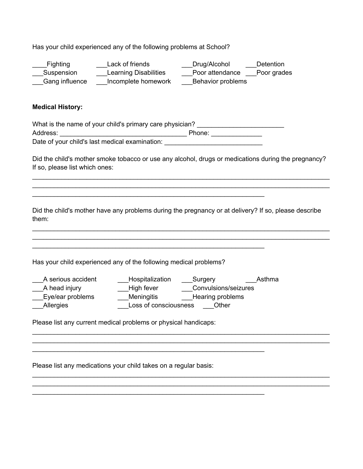Has your child experienced any of the following problems at School?

Fighting **Lack of friends** Drug/Alcohol Detention Suspension Learning Disabilities Poor attendance Poor grades Gang influence lncomplete homework Behavior problems

#### **Medical History:**

| What is the name of your child's primary care physician? |        |
|----------------------------------------------------------|--------|
| Address:                                                 | Phone: |
| Date of your child's last medical examination:           |        |

 $\_$ 

Did the child's mother smoke tobacco or use any alcohol, drugs or medications during the pregnancy? If so, please list which ones:

 $\_$  $\_$ 

Did the child's mother have any problems during the pregnancy or at delivery? If so, please describe them:

 $\_$  $\_$ 

 $\_$ 

 $\_$  $\_$ 

Has your child experienced any of the following medical problems?

| A serious accident | Hospitalization       | Surgery              | Asthma |
|--------------------|-----------------------|----------------------|--------|
| A head injury      | High fever            | Convulsions/seizures |        |
| Eye/ear problems   | <b>Meningitis</b>     | Hearing problems     |        |
| Allergies          | Loss of consciousness | Other                |        |

 $\_$ 

\_\_\_\_\_\_\_\_\_\_\_\_\_\_\_\_\_\_\_\_\_\_\_\_\_\_\_\_\_\_\_\_\_\_\_\_\_\_\_\_\_\_\_\_\_\_\_\_\_\_\_\_\_\_\_\_\_\_\_\_\_\_\_\_

Please list any current medical problems or physical handicaps:

Please list any medications your child takes on a regular basis: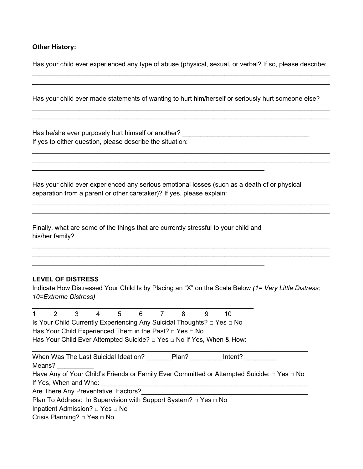#### **Other History:**

Has your child ever experienced any type of abuse (physical, sexual, or verbal? If so, please describe:  $\_$ 

 $\_$ 

 $\_$  , and the contribution of the contribution of the contribution of the contribution of  $\mathcal{L}_\mathcal{A}$  $\_$  , and the set of the set of the set of the set of the set of the set of the set of the set of the set of the set of the set of the set of the set of the set of the set of the set of the set of the set of the set of th

 $\_$ 

 $\_$ 

 $\_$ 

Has your child ever made statements of wanting to hurt him/herself or seriously hurt someone else?

Has he/she ever purposely hurt himself or another? \_\_\_\_\_\_\_\_\_\_\_\_\_\_\_\_\_\_\_\_\_\_\_\_\_\_\_\_\_ If yes to either question, please describe the situation:

Has your child ever experienced any serious emotional losses (such as a death of or physical separation from a parent or other caretaker)? If yes, please explain:

 $\frac{1}{2}$  ,  $\frac{1}{2}$  ,  $\frac{1}{2}$  ,  $\frac{1}{2}$  ,  $\frac{1}{2}$  ,  $\frac{1}{2}$  ,  $\frac{1}{2}$  ,  $\frac{1}{2}$  ,  $\frac{1}{2}$  ,  $\frac{1}{2}$  ,  $\frac{1}{2}$  ,  $\frac{1}{2}$  ,  $\frac{1}{2}$  ,  $\frac{1}{2}$  ,  $\frac{1}{2}$  ,  $\frac{1}{2}$  ,  $\frac{1}{2}$  ,  $\frac{1}{2}$  ,  $\frac{1$ 

Finally, what are some of the things that are currently stressful to your child and his/her family?

 $\_$ 

 $\mathcal{L}_\text{max}$  and  $\mathcal{L}_\text{max}$  and  $\mathcal{L}_\text{max}$  and  $\mathcal{L}_\text{max}$  and  $\mathcal{L}_\text{max}$  and  $\mathcal{L}_\text{max}$ 

#### **LEVEL OF DISTRESS**

Indicate How Distressed Your Child Is by Placing an "X" on the Scale Below *(1= Very Little Distress; 10=Extreme Distress)* 

| 2                     | 3 |                                           | 5 | 6 | 8                                                                         | 9 | 10                                                                     |                                                                                                      |
|-----------------------|---|-------------------------------------------|---|---|---------------------------------------------------------------------------|---|------------------------------------------------------------------------|------------------------------------------------------------------------------------------------------|
|                       |   |                                           |   |   |                                                                           |   | Is Your Child Currently Experiencing Any Suicidal Thoughts? □ Yes □ No |                                                                                                      |
|                       |   |                                           |   |   | Has Your Child Experienced Them in the Past? □ Yes □ No                   |   |                                                                        |                                                                                                      |
|                       |   |                                           |   |   |                                                                           |   | Has Your Child Ever Attempted Suicide? □ Yes □ No If Yes, When & How:  |                                                                                                      |
|                       |   |                                           |   |   |                                                                           |   |                                                                        |                                                                                                      |
|                       |   | When Was The Last Suicidal Ideation?      |   |   | Plan?                                                                     |   | Intent?                                                                |                                                                                                      |
| Means?                |   |                                           |   |   |                                                                           |   |                                                                        |                                                                                                      |
|                       |   |                                           |   |   |                                                                           |   |                                                                        | Have Any of Your Child's Friends or Family Ever Committed or Attempted Suicide: $\Box$ Yes $\Box$ No |
| If Yes, When and Who: |   |                                           |   |   |                                                                           |   |                                                                        |                                                                                                      |
|                       |   | Are There Any Preventative Factors?       |   |   |                                                                           |   |                                                                        |                                                                                                      |
|                       |   |                                           |   |   | Plan To Address: In Supervision with Support System? $\Box$ Yes $\Box$ No |   |                                                                        |                                                                                                      |
|                       |   | Inpatient Admission? $\Box$ Yes $\Box$ No |   |   |                                                                           |   |                                                                        |                                                                                                      |
|                       |   | Crisis Planning? □ Yes □ No               |   |   |                                                                           |   |                                                                        |                                                                                                      |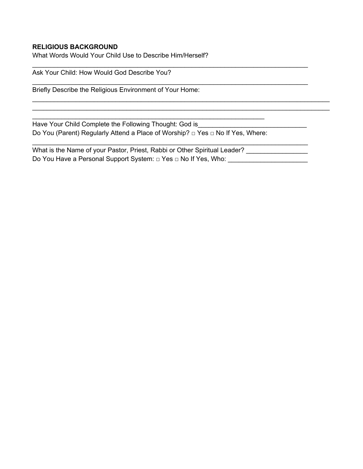## **RELIGIOUS BACKGROUND**

What Words Would Your Child Use to Describe Him/Herself?

Ask Your Child: How Would God Describe You?

Briefly Describe the Religious Environment of Your Home:

Have Your Child Complete the Following Thought: God is Do You (Parent) Regularly Attend a Place of Worship? □ Yes □ No If Yes, Where:

\_\_\_\_\_\_\_\_\_\_\_\_\_\_\_\_\_\_\_\_\_\_\_\_\_\_\_\_\_\_\_\_\_\_\_\_\_\_\_\_\_\_\_\_\_\_\_\_\_\_\_\_\_\_\_\_\_\_\_\_\_\_\_\_

What is the Name of your Pastor, Priest, Rabbi or Other Spiritual Leader? \_\_\_\_\_\_\_\_\_\_\_\_\_ Do You Have a Personal Support System: □ Yes □ No If Yes, Who: \_\_\_\_\_\_\_\_\_\_\_\_\_\_\_\_\_

 $\_$ 

 $\_$ 

 $\_$ 

 $\_$  $\_$  , and the set of the set of the set of the set of the set of the set of the set of the set of the set of the set of the set of the set of the set of the set of the set of the set of the set of the set of the set of th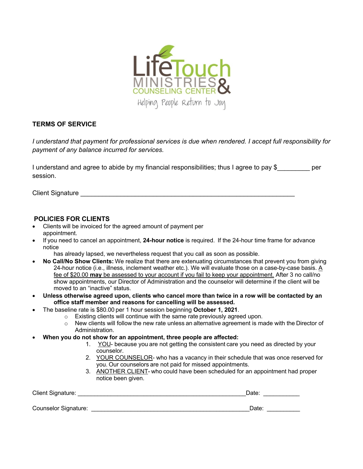

## **TERMS OF SERVICE**

*I understand that payment for professional services is due when rendered. I accept full responsibility for payment of any balance incurred for services.* 

I understand and agree to abide by my financial responsibilities; thus I agree to pay \$ \_\_\_\_\_\_\_\_ per session.

Client Signature \_\_\_\_\_\_\_\_\_\_\_\_\_\_\_\_\_\_\_\_\_\_\_\_\_\_\_\_\_\_\_\_\_\_\_\_\_\_\_\_\_\_\_\_\_\_\_\_\_\_\_\_\_\_\_\_\_\_\_

## **POLICIES FOR CLIENTS**

- Clients will be invoiced for the agreed amount of payment per appointment.
- If you need to cancel an appointment, **24-hour notice** is required.  If the 24-hour time frame for advance notice
	- has already lapsed, we nevertheless request that you call as soon as possible.
- **No Call/No Show Clients:** We realize that there are extenuating circumstances that prevent you from giving 24-hour notice (i.e., illness, inclement weather etc.). We will evaluate those on a case-by-case basis. A fee of \$20.00 **may** be assessed to your account if you fail to keep your appointment. After 3 no call/no show appointments, our Director of Administration and the counselor will determine if the client will be moved to an "inactive" status.
- **Unless otherwise agreed upon, clients who cancel more than twice in a row will be contacted by an office staff member and reasons for cancelling will be assessed.**
	- The baseline rate is \$80.00 per 1 hour session beginning **October 1, 2021**.
		- o Existing clients will continue with the same rate previously agreed upon.
		- $\circ$  New clients will follow the new rate unless an alternative agreement is made with the Director of Administration.
- **When you do not show for an appointment, three people are affected:**
	- 1. YOU- because you are not getting the consistent care you need as directed by your counselor.
	- 2. YOUR COUNSELOR- who has a vacancy in their schedule that was once reserved for you. Our counselors are not paid for missed appointments.
	- 3. ANOTHER CLIENT- who could have been scheduled for an appointment had proper notice been given.

| <b>Client Signature:</b> | Jate |  |
|--------------------------|------|--|
|                          |      |  |

Counselor Signature: \_\_\_\_\_\_\_\_\_\_\_\_\_\_\_\_\_\_\_\_\_\_\_\_\_\_\_\_\_\_\_\_\_\_\_\_\_\_\_\_\_\_\_\_\_\_\_\_Date: \_\_\_\_\_\_\_\_\_\_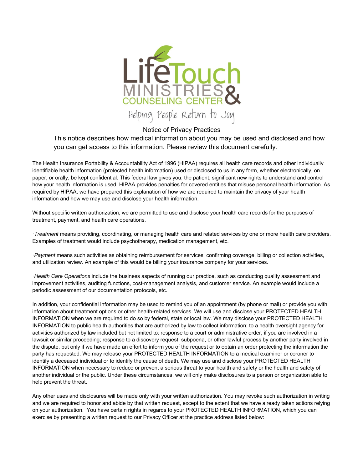

Notice of Privacy Practices

This notice describes how medical information about you may be used and disclosed and how you can get access to this information. Please review this document carefully.

The Health Insurance Portability & Accountability Act of 1996 (HIPAA) requires all health care records and other individually identifiable health information (protected health information) used or disclosed to us in any form, whether electronically, on paper, or orally, be kept confidential. This federal law gives you, the patient, significant new rights to understand and control how your health information is used. HIPAA provides penalties for covered entities that misuse personal health information. As required by HIPAA, we have prepared this explanation of how we are required to maintain the privacy of your health information and how we may use and disclose your health information.

Without specific written authorization, we are permitted to use and disclose your health care records for the purposes of treatment, payment, and health care operations.

·*Treatment* means providing, coordinating, or managing health care and related services by one or more health care providers. Examples of treatment would include psychotherapy, medication management, etc.

·*Payment* means such activities as obtaining reimbursement for services, confirming coverage, billing or collection activities, and utilization review. An example of this would be billing your insurance company for your services.

·*Health Care Operations* include the business aspects of running our practice, such as conducting quality assessment and improvement activities, auditing functions, cost-management analysis, and customer service. An example would include a periodic assessment of our documentation protocols, etc.

In addition, your confidential information may be used to remind you of an appointment (by phone or mail) or provide you with information about treatment options or other health-related services. We will use and disclose your PROTECTED HEALTH INFORMATION when we are required to do so by federal, state or local law. We may disclose your PROTECTED HEALTH INFORMATION to public health authorities that are authorized by law to collect information; to a health oversight agency for activities authorized by law included but not limited to: response to a court or administrative order, if you are involved in a lawsuit or similar proceeding; response to a discovery request, subpoena, or other lawful process by another party involved in the dispute, but only if we have made an effort to inform you of the request or to obtain an order protecting the information the party has requested. We may release your PROTECTED HEALTH INFORMATION to a medical examiner or coroner to identify a deceased individual or to identify the cause of death. We may use and disclose your PROTECTED HEALTH INFORMATION when necessary to reduce or prevent a serious threat to your health and safety or the health and safety of another individual or the public. Under these circumstances, we will only make disclosures to a person or organization able to help prevent the threat.

Any other uses and disclosures will be made only with your written authorization. You may revoke such authorization in writing and we are required to honor and abide by that written request, except to the extent that we have already taken actions relying on your authorization. You have certain rights in regards to your PROTECTED HEALTH INFORMATION, which you can exercise by presenting a written request to our Privacy Officer at the practice address listed below: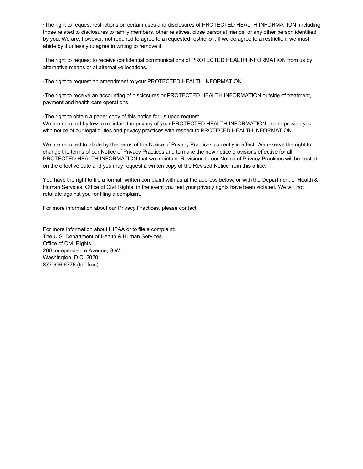·The right to request restrictions on certain uses and disclosures of PROTECTED HEALTH INFORMATION, including those related to disclosures to family members, other relatives, close personal friends, or any other person identified by you. We are, however, not required to agree to a requested restriction. If we do agree to a restriction, we must abide by it unless you agree in writing to remove it.

·The right to request to receive confidential communications of PROTECTED HEALTH INFORMATION from us by alternative means or at alternative locations.

·The right to request an amendment to your PROTECTED HEALTH INFORMATION.

·The right to receive an accounting of disclosures or PROTECTED HEALTH INFORMATION outside of treatment, payment and health care operations.

·The right to obtain a paper copy of this notice for us upon request. We are required by law to maintain the privacy of your PROTECTED HEALTH INFORMATION and to provide you with notice of our legal duties and privacy practices with respect to PROTECED HEALTH INFORMATION.

We are required to abide by the terms of the Notice of Privacy Practices currently in effect. We reserve the right to change the terms of our Notice of Privacy Practices and to make the new notice provisions effective for all PROTECTED HEALTH INFORMATION that we maintain. Revisions to our Notice of Privacy Practices will be posted on the effective date and you may request a written copy of the Revised Notice from this office.

You have the right to file a formal, written complaint with us at the address below, or with the Department of Health & Human Services, Office of Civil Rights, in the event you feel your privacy rights have been violated. We will not retaliate against you for filing a complaint.

For more information about our Privacy Practices, please contact:

For more information about HIPAA or to file a complaint: The U.S. Department of Health & Human Services Office of Civil Rights 200 Independence Avenue, S.W. Washington, D.C. 20201 877.696.6775 (toll-free)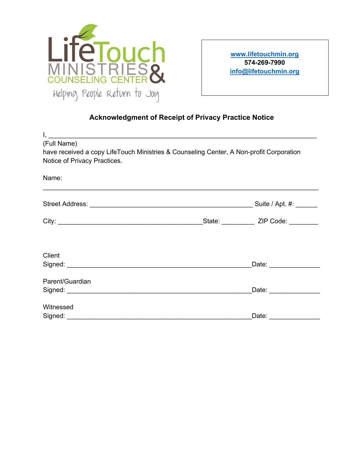

**www.lifetouchmin.org 574-269-7990 info@lifetouchmin.org**

# **Acknowledgment of Receipt of Privacy Practice Notice**

| (Full Name)<br>have received a copy LifeTouch Ministries & Counseling Center, A Non-profit Corporation<br>Notice of Privacy Practices. |                                                                                  |                                              |
|----------------------------------------------------------------------------------------------------------------------------------------|----------------------------------------------------------------------------------|----------------------------------------------|
| Name:                                                                                                                                  | ,我们也不会有什么。""我们的人,我们也不会有什么?""我们的人,我们也不会有什么?""我们的人,我们也不会有什么?""我们的人,我们也不会有什么?""我们的人 |                                              |
|                                                                                                                                        |                                                                                  |                                              |
|                                                                                                                                        |                                                                                  | _State: _______________ ZIP Code: __________ |
| Client                                                                                                                                 |                                                                                  |                                              |
| Parent/Guardian                                                                                                                        |                                                                                  | Date: ________________                       |
| Witnessed                                                                                                                              |                                                                                  |                                              |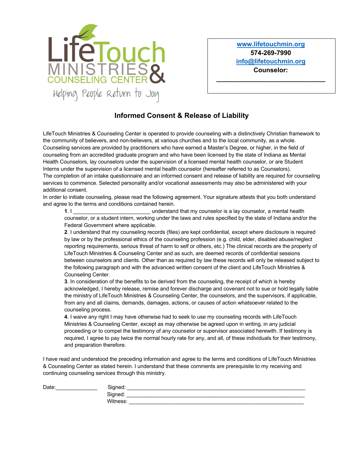

**www.lifetouchmin.org 574-269-7990 info@lifetouchmin.org Counselor:** 

**\_\_\_\_\_\_\_\_\_\_\_\_\_\_\_\_\_\_\_\_\_\_\_\_\_\_\_\_\_\_**

## **Informed Consent & Release of Liability**

LifeTouch Ministries & Counseling Center is operated to provide counseling with a distinctively Christian framework to the community of believers, and non-believers, at various churches and to the local community, as a whole. Counseling services are provided by practitioners who have earned a Master's Degree, or higher, in the field of counseling from an accredited graduate program and who have been licensed by the state of Indiana as Mental Health Counselors, lay counselors under the supervision of a licensed mental health counselor, or are Student Interns under the supervision of a licensed mental health counselor (hereafter referred to as Counselors). The completion of an intake questionnaire and an informed consent and release of liability are required for counseling services to commence. Selected personality and/or vocational assessments may also be administered with your additional consent.

In order to initiate counseling, please read the following agreement. Your signature attests that you both understand and agree to the terms and conditions contained herein.

**1.** I compute that my counselor is a lay counselor, a mental health counselor, or a student intern, working under the laws and rules specified by the state of Indiana and/or the Federal Government where applicable.

**2**. I understand that my counseling records (files) are kept confidential, except where disclosure is required by law or by the professional ethics of the counseling profession (e.g. child, elder, disabled abuse/neglect reporting requirements, serious threat of harm to self or others, etc.) The clinical records are the property of LifeTouch Ministries & Counseling Center and as such, are deemed records of confidential sessions between counselors and clients. Other than as required by law these records will only be released subject to the following paragraph and with the advanced written consent of the client and LifeTouch Ministries & Counseling Center.

**3**. In consideration of the benefits to be derived from the counseling, the receipt of which is hereby acknowledged, I hereby release, remise and forever discharge and covenant not to sue or hold legally liable the ministry of LifeTouch Ministries & Counseling Center, the counselors, and the supervisors, if applicable, from any and all claims, demands, damages, actions, or causes of action whatsoever related to the counseling process.

**4**. I waive any right I may have otherwise had to seek to use my counseling records with LifeTouch Ministries & Counseling Center, except as may otherwise be agreed upon in writing, in any judicial proceeding or to compel the testimony of any counselor or supervisor associated herewith. If testimony is required, I agree to pay twice the normal hourly rate for any, and all, of these individuals for their testimony, and preparation therefore.

I have read and understood the preceding information and agree to the terms and conditions of LifeTouch Ministries & Counseling Center as stated herein. I understand that these comments are prerequisite to my receiving and continuing counseling services through this ministry.

| Date: | Signed:  |
|-------|----------|
|       | Signed:  |
|       | Witness: |